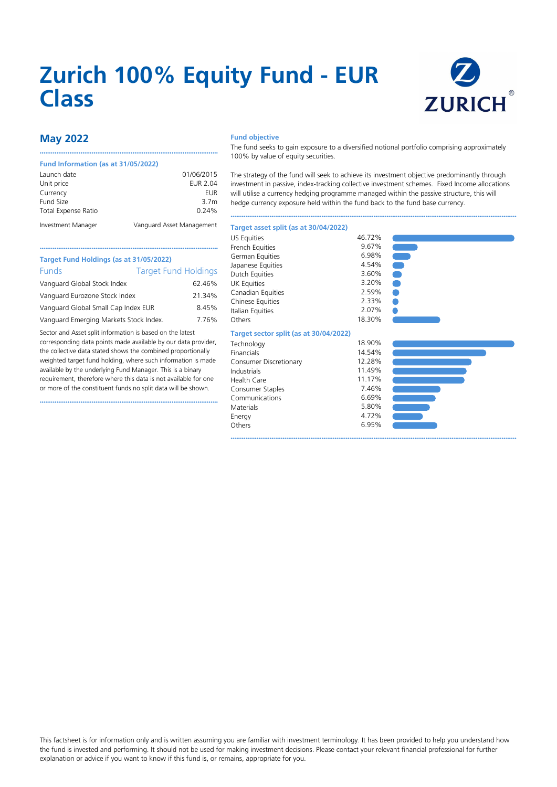# **Zurich 100% Equity Fund - EUR Class**



## **May 2022**

#### **Fund Information (as at 31/05/2022)**

| Launch date         | 01/06/2015                |
|---------------------|---------------------------|
| Unit price          | EUR 2.04                  |
| Currency            | <b>EUR</b>                |
| Fund Size           | 3.7 <sub>m</sub>          |
| Total Expense Ratio | $0.24\%$                  |
| Investment Manager  | Vanguard Asset Management |

••••••••••••••••••••••••••••••••••••••••••••••••••••••••••••••••••••••••••••••••••••••••••••••••

#### **Fund objective**

The fund seeks to gain exposure to a diversified notional portfolio comprising approximately 100% by value of equity securities.

The strategy of the fund will seek to achieve its investment objective predominantly through investment in passive, index-tracking collective investment schemes. Fixed Income allocations will utilise a currency hedging programme managed within the passive structure, this will hedge currency exposure held within the fund back to the fund base currency.

••••••••••••••••••••••••••••••••••••••••••••••••••••••••••••••••••••••••••••••••••••••••••••••••••••••••••••••••••••••••••••••••••••••••••••••••••••••••••

6.95% ••••••••••••••••••••••••••••••••••••••••••••••••••••••••••••••••••••••••••••••••••••••••••••••••••••••••••••••••••••••••••••••••••••••••••••••••••••••••••

#### **Target asset split (as at 30/04/2022)**

|                                                                      |                             |                 | <b>US Equities</b>      | 46.72% |
|----------------------------------------------------------------------|-----------------------------|-----------------|-------------------------|--------|
|                                                                      |                             |                 | French Equities         | 9.67%  |
| Target Fund Holdings (as at 31/05/2022)                              |                             | German Equities | 6.98%                   |        |
|                                                                      |                             |                 | Japanese Equities       | 4.54%  |
| <b>Funds</b>                                                         | <b>Target Fund Holdings</b> |                 | Dutch Equities          | 3.60%  |
| Vanguard Global Stock Index                                          |                             | 62.46%          | UK Equities             | 3.20%  |
| Vanguard Eurozone Stock Index<br>Vanguard Global Small Cap Index EUR |                             | 21.34%          | Canadian Equities       | 2.59%  |
|                                                                      |                             |                 | <b>Chinese Equities</b> | 2.33%  |
|                                                                      |                             | 8.45%           | Italian Equities        | 2.07%  |
| Vanguard Emerging Markets Stock Index.                               |                             | 7.76%           | Others                  | 18.30% |
|                                                                      |                             |                 |                         |        |

#### **Target sector split (as at 30/04/2022)**

| 18.90% |
|--------|
| 14.54% |
| 12.28% |
| 11.49% |
| 11.17% |
| 7.46%  |
| 6.69%  |
| 5.80%  |
| 4.72%  |
| 6.95%  |
|        |





## **Target Fund Holdings (as at 31/05/2022)** Funds Target F Vanguard Global Stock Index Vanguard Eurozone Stock Index Vanguard Global Small Cap Index EUR

Sector and Asset split information is based on the latest corresponding data points made available by our data provider, the collective data stated shows the combined proportionally weighted target fund holding, where such information is made available by the underlying Fund Manager. This is a binary requirement, therefore where this data is not available for one or more of the constituent funds no split data will be shown.

••••••••••••••••••••••••••••••••••••••••••••••••••••••••••••••••••••••••••••••••••••••••••••••••